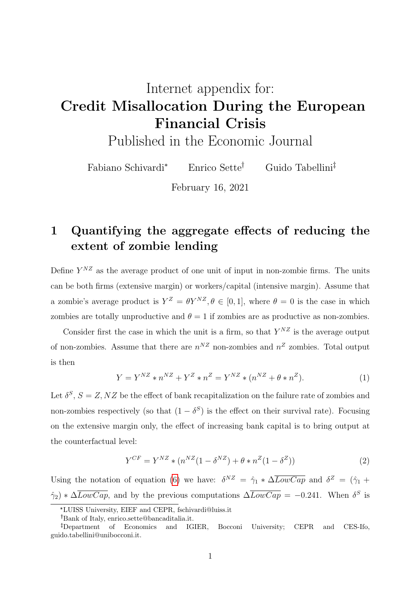# <span id="page-0-0"></span>Internet appendix for: Credit Misallocation During the European Financial Crisis

Published in the Economic Journal

Fabiano Schivardi<sup>\*</sup> Enrico Sette<sup>†</sup> Guido Tabellini<sup>‡</sup>

February 16, 2021

## 1 Quantifying the aggregate effects of reducing the extent of zombie lending

Define  $Y^{NZ}$  as the average product of one unit of input in non-zombie firms. The units can be both firms (extensive margin) or workers/capital (intensive margin). Assume that a zombie's average product is  $Y^Z = \theta Y^{NZ}, \theta \in [0,1]$ , where  $\theta = 0$  is the case in which zombies are totally unproductive and  $\theta = 1$  if zombies are as productive as non-zombies.

Consider first the case in which the unit is a firm, so that  $Y^{NZ}$  is the average output of non-zombies. Assume that there are  $n^{NZ}$  non-zombies and  $n^Z$  zombies. Total output is then

$$
Y = Y^{NZ} * n^{NZ} + Y^Z * n^Z = Y^{NZ} * (n^{NZ} + \theta * n^Z). \tag{1}
$$

Let  $\delta^S$ ,  $S = Z, NZ$  be the effect of bank recapitalization on the failure rate of zombies and non-zombies respectively (so that  $(1 - \delta^S)$  is the effect on their survival rate). Focusing on the extensive margin only, the effect of increasing bank capital is to bring output at the counterfactual level:

$$
Y^{CF} = Y^{NZ} * (n^{NZ}(1 - \delta^{NZ}) + \theta * n^{Z}(1 - \delta^{Z}))
$$
\n(2)

Using the notation of equation (6) we have:  $\delta^{NZ} = \hat{\gamma}_1 * \Delta \overline{LowCap}$  and  $\delta^{Z} = (\hat{\gamma}_1 + \hat{\gamma}_2)$  $\hat{\gamma}_2$  \*  $\Delta \overline{LowCap}$ , and by the previous computations  $\Delta \overline{LowCap} = -0.241$ . When  $\delta^S$  is

<sup>\*</sup>LUISS University, EIEF and CEPR, fschivardi@luiss.it

Bank of Italy, enrico.sette@bancaditalia.it.

Department of Economics and IGIER, Bocconi University; CEPR and CES-Ifo, guido.tabellini@unibocconi.it.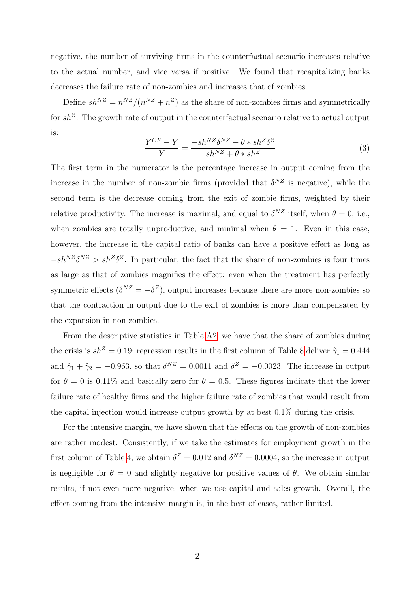negative, the number of surviving firms in the counterfactual scenario increases relative to the actual number, and vice versa if positive. We found that recapitalizing banks decreases the failure rate of non-zombies and increases that of zombies.

Define  $sh^{NZ} = n^{NZ}/(n^{NZ} + n^Z)$  as the share of non-zombies firms and symmetrically for  $sh^Z$ . The growth rate of output in the counterfactual scenario relative to actual output is:

$$
\frac{Y^{CF} - Y}{Y} = \frac{-sh^{NZ}\delta^{NZ} - \theta * sh^Z\delta^Z}{sh^{NZ} + \theta * sh^Z}
$$
(3)

The first term in the numerator is the percentage increase in output coming from the increase in the number of non-zombie firms (provided that  $\delta^{NZ}$  is negative), while the second term is the decrease coming from the exit of zombie firms, weighted by their relative productivity. The increase is maximal, and equal to  $\delta^{NZ}$  itself, when  $\theta = 0$ , i.e., when zombies are totally unproductive, and minimal when  $\theta = 1$ . Even in this case, however, the increase in the capital ratio of banks can have a positive effect as long as  $-sh^{NZ}\delta^{NZ} > sh^{Z}\delta^{Z}$ . In particular, the fact that the share of non-zombies is four times as large as that of zombies magnifies the effect: even when the treatment has perfectly symmetric effects  $(\delta^{NZ} = -\delta^Z)$ , output increases because there are more non-zombies so that the contraction in output due to the exit of zombies is more than compensated by the expansion in non-zombies.

From the descriptive statistics in Table [A2,](#page-6-0) we have that the share of zombies during the crisis is  $sh^Z = 0.19$ ; regression results in the first column of Table [8](#page-13-0) deliver  $\hat{\gamma}_1 = 0.444$ and  $\hat{\gamma}_1 + \hat{\gamma}_2 = -0.963$ , so that  $\delta^{NZ} = 0.0011$  and  $\delta^{Z} = -0.0023$ . The increase in output for  $\theta = 0$  is 0.11% and basically zero for  $\theta = 0.5$ . These figures indicate that the lower failure rate of healthy firms and the higher failure rate of zombies that would result from the capital injection would increase output growth by at best 0.1% during the crisis.

For the intensive margin, we have shown that the effects on the growth of non-zombies are rather modest. Consistently, if we take the estimates for employment growth in the first column of Table [4,](#page-9-0) we obtain  $\delta^Z = 0.012$  and  $\delta^{NZ} = 0.0004$ , so the increase in output is negligible for  $\theta = 0$  and slightly negative for positive values of  $\theta$ . We obtain similar results, if not even more negative, when we use capital and sales growth. Overall, the effect coming from the intensive margin is, in the best of cases, rather limited.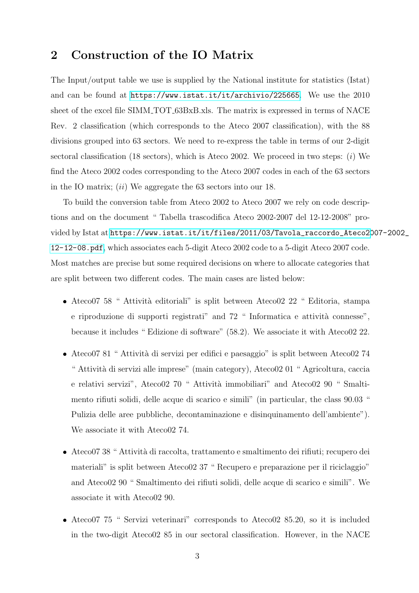### 2 Construction of the IO Matrix

The Input/output table we use is supplied by the National institute for statistics (Istat) and can be found at <https://www.istat.it/it/archivio/225665>. We use the 2010 sheet of the excel file SIMM TOT 63BxB.xls. The matrix is expressed in terms of NACE Rev. 2 classification (which corresponds to the Ateco 2007 classification), with the 88 divisions grouped into 63 sectors. We need to re-express the table in terms of our 2-digit sectoral classification (18 sectors), which is Ateco 2002. We proceed in two steps:  $(i)$  We find the Ateco 2002 codes corresponding to the Ateco 2007 codes in each of the 63 sectors in the IO matrix;  $(ii)$  We aggregate the 63 sectors into our 18.

To build the conversion table from Ateco 2002 to Ateco 2007 we rely on code descriptions and on the document " Tabella trascodifica Ateco 2002-2007 del 12-12-2008" provided by Istat at [https://www.istat.it/it/files/2011/03/Tavola\\_raccordo\\_Ateco20](https://www.istat.it/it/files/2011/03/Tavola_raccordo_Ateco2007-2002_12-12-08.pdf)07-2002\_ [12-12-08.pdf](https://www.istat.it/it/files/2011/03/Tavola_raccordo_Ateco2007-2002_12-12-08.pdf), which associates each 5-digit Ateco 2002 code to a 5-digit Ateco 2007 code. Most matches are precise but some required decisions on where to allocate categories that are split between two different codes. The main cases are listed below:

- $\bullet$  Ateco07 58 " Attività editoriali" is split between Ateco02 22 " Editoria, stampa e riproduzione di supporti registrati" and 72 " Informatica e attività connesse", because it includes " Edizione di software" (58.2). We associate it with Ateco02 22.
- $\bullet$  Ateco07 81 " Attività di servizi per edifici e paesaggio" is split between Ateco02 74 " Attività di servizi alle imprese" (main category), Ateco02 01 " Agricoltura, caccia e relativi servizi", Ateco02 70 " Attività immobiliari" and Ateco02 90 " Smaltimento rifiuti solidi, delle acque di scarico e simili" (in particular, the class 90.03 " Pulizia delle aree pubbliche, decontaminazione e disinquinamento dell'ambiente"). We associate it with Ateco02 74.
- $\bullet$  Ateco07 38 " Attività di raccolta, trattamento e smaltimento dei rifiuti; recupero dei materiali" is split between Ateco02 37 " Recupero e preparazione per il riciclaggio" and Ateco02 90 " Smaltimento dei rifiuti solidi, delle acque di scarico e simili". We associate it with Ateco02 90.
- Ateco07 75 " Servizi veterinari" corresponds to Ateco02 85.20, so it is included in the two-digit Ateco02 85 in our sectoral classification. However, in the NACE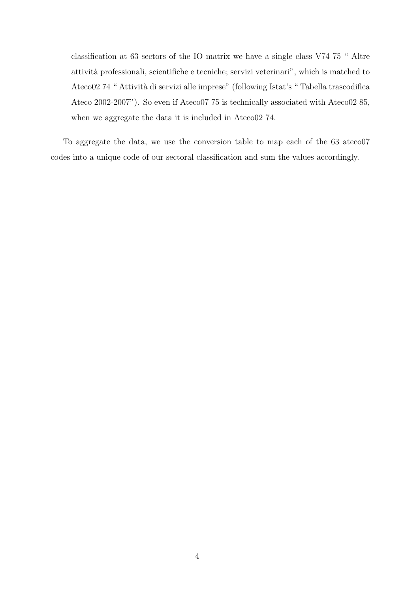classification at 63 sectors of the IO matrix we have a single class V74 75 " Altre attivit`a professionali, scientifiche e tecniche; servizi veterinari", which is matched to Ateco02 74 " Attività di servizi alle imprese" (following Istat's " Tabella trascodifica Ateco 2002-2007"). So even if Ateco07 75 is technically associated with Ateco02 85, when we aggregate the data it is included in Ateco02 74.

To aggregate the data, we use the conversion table to map each of the 63 ateco07 codes into a unique code of our sectoral classification and sum the values accordingly.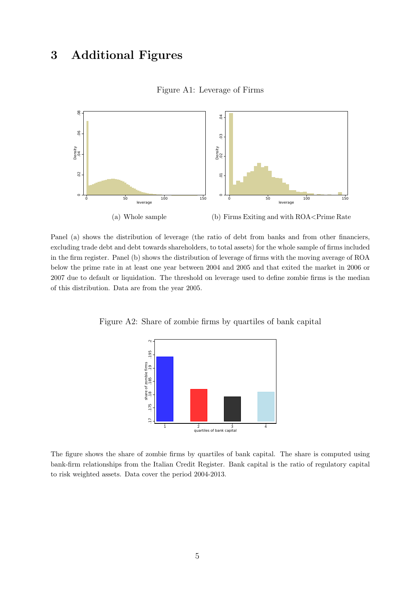### 3 Additional Figures



#### Figure A1: Leverage of Firms

Panel (a) shows the distribution of leverage (the ratio of debt from banks and from other financiers, excluding trade debt and debt towards shareholders, to total assets) for the whole sample of firms included in the firm register. Panel (b) shows the distribution of leverage of firms with the moving average of ROA below the prime rate in at least one year between 2004 and 2005 and that exited the market in 2006 or 2007 due to default or liquidation. The threshold on leverage used to define zombie firms is the median of this distribution. Data are from the year 2005.

Figure A2: Share of zombie firms by quartiles of bank capital



The figure shows the share of zombie firms by quartiles of bank capital. The share is computed using bank-firm relationships from the Italian Credit Register. Bank capital is the ratio of regulatory capital to risk weighted assets. Data cover the period 2004-2013.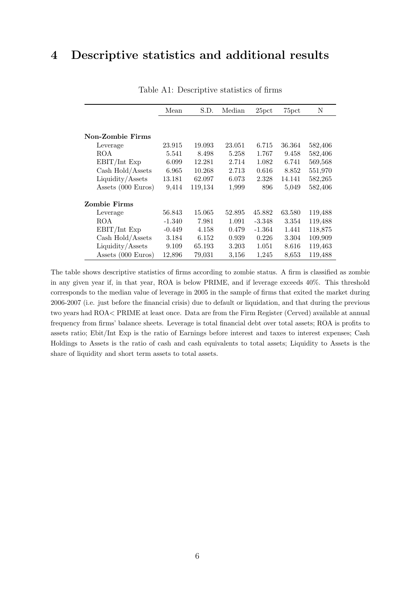### <span id="page-5-0"></span>4 Descriptive statistics and additional results

|                         | Mean     | S.D.    | Median | 25 <sub>pct</sub> | 75pct  | N       |
|-------------------------|----------|---------|--------|-------------------|--------|---------|
|                         |          |         |        |                   |        |         |
|                         |          |         |        |                   |        |         |
| <b>Non-Zombie Firms</b> |          |         |        |                   |        |         |
| Leverage                | 23.915   | 19.093  | 23.051 | 6.715             | 36.364 | 582,406 |
| ROA                     | 5.541    | 8.498   | 5.258  | 1.767             | 9.458  | 582,406 |
| EBIT/Int Exp            | 6.099    | 12.281  | 2.714  | 1.082             | 6.741  | 569,568 |
| Cash Hold/Assets        | 6.965    | 10.268  | 2.713  | 0.616             | 8.852  | 551,970 |
| Liquidity/Assets        | 13.181   | 62.097  | 6.073  | 2.328             | 14.141 | 582,265 |
| Assets (000 Euros)      | 9.414    | 119,134 | 1,999  | 896               | 5,049  | 582,406 |
| <b>Zombie Firms</b>     |          |         |        |                   |        |         |
| Leverage                | 56.843   | 15.065  | 52.895 | 45.882            | 63.580 | 119,488 |
| ROA                     | $-1.340$ | 7.981   | 1.091  | $-3.348$          | 3.354  | 119,488 |
| EBIT/Int Exp            | $-0.449$ | 4.158   | 0.479  | $-1.364$          | 1.441  | 118,875 |
| Cash Hold/Assets        | 3.184    | 6.152   | 0.939  | 0.226             | 3.304  | 109,909 |
| Liquidity/Assets        | 9.109    | 65.193  | 3.203  | 1.051             | 8.616  | 119,463 |
| Assets (000 Euros)      | 12,896   | 79.031  | 3,156  | 1,245             | 8,653  | 119,488 |

Table A1: Descriptive statistics of firms

The table shows descriptive statistics of firms according to zombie status. A firm is classified as zombie in any given year if, in that year, ROA is below PRIME, and if leverage exceeds 40%. This threshold corresponds to the median value of leverage in 2005 in the sample of firms that exited the market during 2006-2007 (i.e. just before the financial crisis) due to default or liquidation, and that during the previous two years had ROA< PRIME at least once. Data are from the Firm Register (Cerved) available at annual frequency from firms' balance sheets. Leverage is total financial debt over total assets; ROA is profits to assets ratio; Ebit/Int Exp is the ratio of Earnings before interest and taxes to interest expenses; Cash Holdings to Assets is the ratio of cash and cash equivalents to total assets; Liquidity to Assets is the share of liquidity and short term assets to total assets.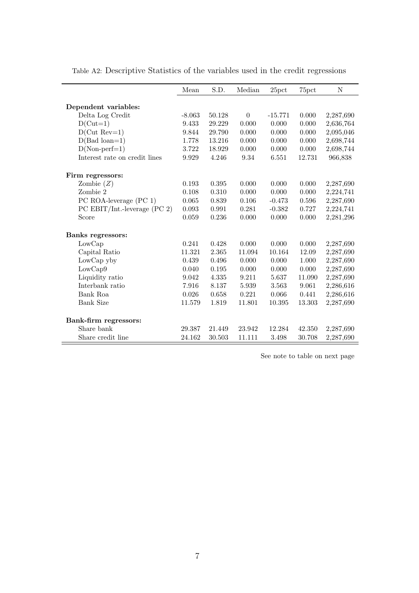|                                | Mean     | S.D.   | Median         | 25 <sub>pct</sub> | 75pct  | $\mathbf N$ |
|--------------------------------|----------|--------|----------------|-------------------|--------|-------------|
|                                |          |        |                |                   |        |             |
| Dependent variables:           |          |        |                |                   |        |             |
| Delta Log Credit               | $-8.063$ | 50.128 | $\overline{0}$ | $-15.771$         | 0.000  | 2,287,690   |
| $D(Cut=1)$                     | 9.433    | 29.229 | 0.000          | 0.000             | 0.000  | 2,636,764   |
| $D(Cut Rev=1)$                 | 9.844    | 29.790 | 0.000          | 0.000             | 0.000  | 2,095,046   |
| $D(Bad loan=1)$                | 1.778    | 13.216 | 0.000          | 0.000             | 0.000  | 2,698,744   |
| $D(Non-perf=1)$                | 3.722    | 18.929 | 0.000          | 0.000             | 0.000  | 2,698,744   |
| Interest rate on credit lines  | 9.929    | 4.246  | 9.34           | 6.551             | 12.731 | 966,838     |
| Firm regressors:               |          |        |                |                   |        |             |
| Zombie $(Z)$                   | 0.193    | 0.395  | 0.000          | 0.000             | 0.000  | 2,287,690   |
| Zombie 2                       | 0.108    | 0.310  | 0.000          | 0.000             | 0.000  | 2,224,741   |
| PC ROA-leverage (PC 1)         | 0.065    | 0.839  | 0.106          | $-0.473$          | 0.596  | 2,287,690   |
| PC EBIT/Int.-leverage $(PC 2)$ | 0.093    | 0.991  | 0.281          | $-0.382$          | 0.727  | 2,224,741   |
| Score                          | 0.059    | 0.236  | 0.000          | 0.000             | 0.000  | 2,281,296   |
| Banks regressors:              |          |        |                |                   |        |             |
| LowCap                         | 0.241    | 0.428  | 0.000          | 0.000             | 0.000  | 2,287,690   |
| Capital Ratio                  | 11.321   | 2.365  | 11.094         | 10.164            | 12.09  | 2,287,690   |
| LowCap yby                     | 0.439    | 0.496  | 0.000          | 0.000             | 1.000  | 2,287,690   |
| LowCap9                        | 0.040    | 0.195  | 0.000          | 0.000             | 0.000  | 2,287,690   |
| Liquidity ratio                | 9.042    | 4.335  | 9.211          | 5.637             | 11.090 | 2,287,690   |
| Interbank ratio                | 7.916    | 8.137  | 5.939          | 3.563             | 9.061  | 2,286,616   |
| Bank Roa                       | 0.026    | 0.658  | 0.221          | 0.066             | 0.441  | 2,286,616   |
| Bank Size                      | 11.579   | 1.819  | 11.801         | 10.395            | 13.303 | 2,287,690   |
| Bank-firm regressors:          |          |        |                |                   |        |             |
| Share bank                     | 29.387   | 21.449 | 23.942         | 12.284            | 42.350 | 2,287,690   |
| Share credit line              | 24.162   | 30.503 | 11.111         | 3.498             | 30.708 | 2,287,690   |

ł,

<span id="page-6-0"></span>Table A2: Descriptive Statistics of the variables used in the credit regressions

See note to table on next page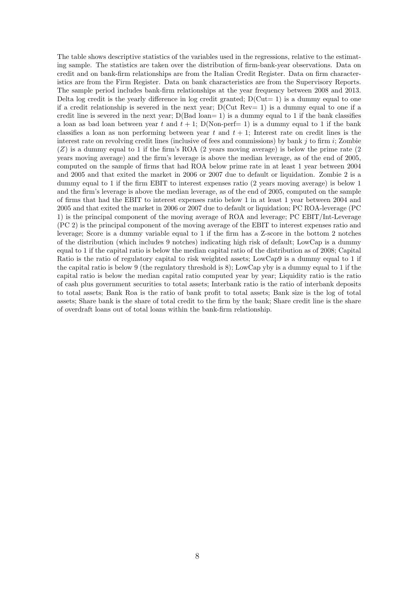The table shows descriptive statistics of the variables used in the regressions, relative to the estimating sample. The statistics are taken over the distribution of firm-bank-year observations. Data on credit and on bank-firm relationships are from the Italian Credit Register. Data on firm characteristics are from the Firm Register. Data on bank characteristics are from the Supervisory Reports. The sample period includes bank-firm relationships at the year frequency between 2008 and 2013. Delta log credit is the yearly difference in log credit granted;  $D(Cut= 1)$  is a dummy equal to one if a credit relationship is severed in the next year;  $D(Cut Rev= 1)$  is a dummy equal to one if a credit line is severed in the next year;  $D(Bad loan= 1)$  is a dummy equal to 1 if the bank classifies a loan as bad loan between year t and  $t + 1$ ; D(Non-perf= 1) is a dummy equal to 1 if the bank classifies a loan as non performing between year t and  $t + 1$ ; Interest rate on credit lines is the interest rate on revolving credit lines (inclusive of fees and commissions) by bank  $j$  to firm  $i$ ; Zombie (Z) is a dummy equal to 1 if the firm's ROA (2 years moving average) is below the prime rate (2 years moving average) and the firm's leverage is above the median leverage, as of the end of 2005, computed on the sample of firms that had ROA below prime rate in at least 1 year between 2004 and 2005 and that exited the market in 2006 or 2007 due to default or liquidation. Zombie 2 is a dummy equal to 1 if the firm EBIT to interest expenses ratio (2 years moving average) is below 1 and the firm's leverage is above the median leverage, as of the end of 2005, computed on the sample of firms that had the EBIT to interest expenses ratio below 1 in at least 1 year between 2004 and 2005 and that exited the market in 2006 or 2007 due to default or liquidation; PC ROA-leverage (PC 1) is the principal component of the moving average of ROA and leverage; PC EBIT/Int-Leverage (PC 2) is the principal component of the moving average of the EBIT to interest expenses ratio and leverage; Score is a dummy variable equal to 1 if the firm has a Z-score in the bottom 2 notches of the distribution (which includes 9 notches) indicating high risk of default; LowCap is a dummy equal to 1 if the capital ratio is below the median capital ratio of the distribution as of 2008; Capital Ratio is the ratio of regulatory capital to risk weighted assets; LowCap9 is a dummy equal to 1 if the capital ratio is below 9 (the regulatory threshold is 8); LowCap yby is a dummy equal to 1 if the capital ratio is below the median capital ratio computed year by year; Liquidity ratio is the ratio of cash plus government securities to total assets; Interbank ratio is the ratio of interbank deposits to total assets; Bank Roa is the ratio of bank profit to total assets; Bank size is the log of total assets; Share bank is the share of total credit to the firm by the bank; Share credit line is the share of overdraft loans out of total loans within the bank-firm relationship.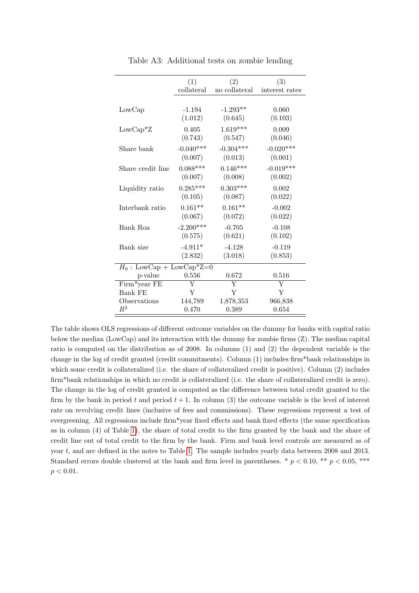|                             | (1)         | (2)           | (3)            |
|-----------------------------|-------------|---------------|----------------|
|                             | collateral  | no collateral | interest rates |
|                             |             |               |                |
| LowCap                      | $-1.194$    | $-1.293**$    | 0.060          |
|                             | (1.012)     | (0.645)       | (0.103)        |
| $LowCap^*Z$                 | 0.405       | $1.619***$    | 0.009          |
|                             | (0.743)     | (0.547)       | (0.046)        |
| Share bank                  | $-0.040***$ | $-0.304***$   | $-0.020***$    |
|                             | (0.007)     | (0.013)       | (0.001)        |
| Share credit line           | $0.088***$  | $0.146***$    | $-0.019***$    |
|                             | (0.007)     | (0.008)       | (0.002)        |
| Liquidity ratio             | $0.285***$  | $0.303***$    | 0.002          |
|                             | (0.105)     | (0.087)       | (0.022)        |
| Interbank ratio             | $0.161**$   | $0.161**$     | $-0.002$       |
|                             | (0.067)     | (0.072)       | (0.022)        |
| Bank Roa                    | $-2.200***$ | $-0.705$      | $-0.108$       |
|                             | (0.575)     | (0.621)       | (0.102)        |
| Bank size                   | $-4.911*$   | $-4.128$      | $-0.119$       |
|                             | (2.832)     | (3.018)       | (0.853)        |
| $H_0$ : LowCap + LowCap*Z=0 |             |               |                |
| p-value                     | 0.556       | 0.672         | 0.516          |
| Firm*year FE                | Y           | Y             | Y              |
| <b>Bank FE</b>              | Y           | Y             | Y              |
| Observations                | 144,789     | 1,878,353     | 966,838        |
| $\,R^2$                     | 0.470       | 0.389         | 0.654          |

Table A3: Additional tests on zombie lending

The table shows OLS regressions of different outcome variables on the dummy for banks with capital ratio below the median (LowCap) and its interaction with the dummy for zombie firms (Z). The median capital ratio is computed on the distribution as of 2008. In columns (1) and (2) the dependent variable is the change in the log of credit granted (credit commitments). Column (1) includes firm\*bank relationships in which some credit is collateralized (i.e. the share of collateralized credit is positive). Column (2) includes firm\*bank relationships in which no credit is collateralized (i.e. the share of collateralized credit is zero). The change in the log of credit granted is computed as the difference between total credit granted to the firm by the bank in period t and period  $t + 1$ . In column (3) the outcome variable is the level of interest rate on revolving credit lines (inclusive of fees and commissions). These regressions represent a test of evergreening. All regressions include firm\*year fixed effects and bank fixed effects (the same specification as in column (4) of Table [1\)](#page-5-0), the share of total credit to the firm granted by the bank and the share of credit line out of total credit to the firm by the bank. Firm and bank level controls are measured as of year t, and are defined in the notes to Table [1.](#page-5-0) The sample includes yearly data between 2008 and 2013. Standard errors double clustered at the bank and firm level in parentheses. \*  $p < 0.10$ , \*\*  $p < 0.05$ , \*\*\*  $p < 0.01$ .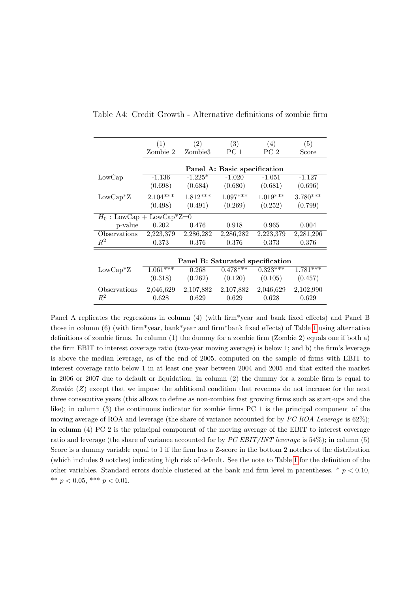|                             | (1)        | (2)                              | (3)                          | (4)        | (5)        |
|-----------------------------|------------|----------------------------------|------------------------------|------------|------------|
|                             | Zombie 2   | Zombie <sub>3</sub>              | PC 1                         | PC 2       | Score      |
|                             |            |                                  |                              |            |            |
|                             |            |                                  | Panel A: Basic specification |            |            |
| LowCap                      | $-1.136$   | $-1.225*$                        | $-1.020$                     | $-1.051$   | $-1.127$   |
|                             | (0.698)    | (0.684)                          | (0.680)                      | (0.681)    | (0.696)    |
| $LowCap^*Z$                 | $2.104***$ | $1.812***$                       | $1.097***$                   | $1.019***$ | $3.780***$ |
|                             | (0.498)    | (0.491)                          | (0.269)                      | (0.252)    | (0.799)    |
| $H_0$ : LowCap + LowCap*Z=0 |            |                                  |                              |            |            |
| p-value                     | 0.202      | 0.476                            | 0.918                        | 0.965      | 0.004      |
| Observations                | 2,223,379  | 2,286,282                        | 2,286,282                    | 2,223,379  | 2,281,296  |
| $\,R^2$                     | 0.373      | 0.376                            | 0.376                        | 0.373      | 0.376      |
|                             |            |                                  |                              |            |            |
|                             |            | Panel B: Saturated specification |                              |            |            |
| $LowCap^*Z$                 | $1.061***$ | 0.268                            | $0.478***$                   | $0.323***$ | $1.781***$ |
|                             | (0.318)    | (0.262)                          | (0.120)                      | (0.105)    | (0.457)    |
| Observations                | 2,046,629  | 2,107,882                        | 2,107,882                    | 2,046,629  | 2,102,990  |
| $R^2$                       | 0.628      | 0.629                            | 0.629                        | 0.628      | 0.629      |

<span id="page-9-0"></span>Table A4: Credit Growth - Alternative definitions of zombie firm

Panel A replicates the regressions in column (4) (with firm\*year and bank fixed effects) and Panel B those in column (6) (with firm\*year, bank\*year and firm\*bank fixed effects) of Table [1](#page-5-0) using alternative definitions of zombie firms. In column (1) the dummy for a zombie firm (Zombie 2) equals one if both a) the firm EBIT to interest coverage ratio (two-year moving average) is below 1; and b) the firm's leverage is above the median leverage, as of the end of 2005, computed on the sample of firms with EBIT to interest coverage ratio below 1 in at least one year between 2004 and 2005 and that exited the market in 2006 or 2007 due to default or liquidation; in column (2) the dummy for a zombie firm is equal to Zombie  $(Z)$  except that we impose the additional condition that revenues do not increase for the next three consecutive years (this allows to define as non-zombies fast growing firms such as start-ups and the like); in column (3) the continuous indicator for zombie firms PC 1 is the principal component of the moving average of ROA and leverage (the share of variance accounted for by PC ROA Leverage is 62%); in column (4) PC 2 is the principal component of the moving average of the EBIT to interest coverage ratio and leverage (the share of variance accounted for by  $PC$  EBIT/INT leverage is 54%); in column (5) Score is a dummy variable equal to 1 if the firm has a Z-score in the bottom 2 notches of the distribution (which includes 9 notches) indicating high risk of default. See the note to Table [1](#page-5-0) for the definition of the other variables. Standard errors double clustered at the bank and firm level in parentheses.  $*$   $p < 0.10$ , \*\*  $p < 0.05$ , \*\*\*  $p < 0.01$ .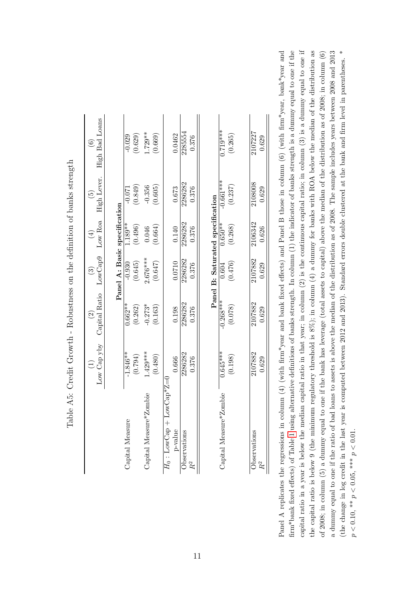| .<br>Fa                                       |                  | ble A5: Credit Growth - Robustness on the definition of banks strength |                                   |                                  |                                         |                                          |
|-----------------------------------------------|------------------|------------------------------------------------------------------------|-----------------------------------|----------------------------------|-----------------------------------------|------------------------------------------|
|                                               | Low Cap yby<br>Ξ | Capital Ratio<br>$\widehat{\mathfrak{O}}$                              | LowCap9<br>$\widehat{\mathbb{C}}$ | $_{\rm Low\ Roa}$<br>$\bigoplus$ | High Lever.<br>$\widetilde{\mathbf{e}}$ | High Bad Loans<br>$\widehat{\mathbf{e}}$ |
|                                               |                  |                                                                        | Panel A: Basic specification      |                                  |                                         |                                          |
| Capital Measure                               | $-1.846**$       | $0.662**$                                                              | $-0.930$                          | $1.189**$                        | $-0.071$                                | $-0.029$                                 |
|                                               | (6.794)          | (0.262)                                                                | (0.645)                           | (0.496)                          | (0.849)                                 | (0.629)                                  |
| <b>Zombie</b><br>Capital Measure <sup>4</sup> | $1.429***$       | $-0.273*$                                                              | $2.676***$                        | 0.046                            | $-0.356$                                | $1.729**$                                |
|                                               | (0.480)          | (0.163)                                                                | (0.647)                           | (0.664)                          | (0.605)                                 | (0.669)                                  |
| $LowCap*Z=0$<br>$H_0$ : LowCap +              |                  |                                                                        |                                   |                                  |                                         |                                          |
| p-value                                       | 0.666            | 0.198                                                                  | 0.0710                            | 0.140                            | 0.673                                   | 0.0462                                   |
| Observations                                  | 2286282          | 2286282                                                                | 2286282                           | 2286282                          | 2286282                                 | 2285554                                  |
| $R^2$                                         | 0.376            | 0.376                                                                  | 0.376                             | 0.376                            | 0.376                                   | 0.376                                    |
|                                               |                  |                                                                        | Panel B: Saturated specification  |                                  |                                         |                                          |
| Capital Measure*Zombie                        | $0.645***$       | $-0.268***$                                                            | 0.604                             | $0.650**$                        | $-0.661***$                             | $0.719***$                               |
|                                               | (0.198)          | (0.078)                                                                | (0.476)                           | (0.268)                          | (0.237)                                 | (0.265)                                  |
|                                               |                  |                                                                        |                                   |                                  |                                         |                                          |
| Observations                                  | 2107882          | 2107882                                                                | 2107882                           | 2106342                          | 2108008                                 | 2107227                                  |
| $R^2$                                         | 0.629            | 0.629                                                                  | 0.629                             | 0.626                            | 0.629                                   | 0.629                                    |

capital ratio in a year is below the median capital ratio in that year; in column  $(2)$  is the continuous capital ratio; in column  $(3)$  is a dummy equal to one if (the change in log credit in the last year is computed between 2012 and 2013). Standard errors double clustered at the bank and firm level in parentheses. \* Panel A replicates the regressions in column (4) (with firm\*year and bank fixed effects) and Panel B those in column (6) (with firm\*year, bank\*year and firm\*bank fixed effects) of Table 1 using alternative definitions of banks strength. In column (1) the indicator of banks strength is a dummy equal to one if the capital ratio in a year is below the median capital ratio in that year; in column  $(2)$  is the continuous capital ratio; in column  $(3)$  is a dummy equal to one if the capital ratio is below 9 (the minimum regulatory threshold is  $8\%$ ); in column  $(4)$  a dummy for banks with ROA below the median of the distribution as a dummy equal to one if the ratio of bad loans to assets is above the median of the distribution as of 2008. The sample includes years between 2008 and 2013 Panel A replicates the regressions in column (4) (with firm\*year and bank fixed effects) and Panel B those in column (6) (with firm\*year, bank\*year and firm\*bank fixed effects) of Table [1](#page-5-0) using alternative definitions of banks strength. In column (1) the indicator of banks strength is a dummy equal to one if the the capital ratio is below 9 (the minimum regulatory threshold is 8%); in column (4) a dummy for banks with ROA below the median of the distribution as of 2008; in column (5) a dummy equal to one if the bank has leverage (total assets to capital) above the median of the distribution as of 2008; in column (6) a dummy equal to one if the ratio of bad loans to assets is above the median of the distribution as of 2008. The sample includes years between 2008 and 2013 (the change in log credit in the last year is computed between 2012 and 2013). Standard errors double clustered at the bank and firm level in parentheses.  $*$ of 2008; in column (5) a dummy equal to one if the bank has leverage (total assets to capital) above the median of the distribution as of 2008; in column (6)  $p < 0.10,$  \*\*  $p < 0.05,$  \*\*\*  $p < 0.01$ .  $p < 0.10$ , \*\*  $p < 0.05$ , \*\*\*  $p < 0.01$ .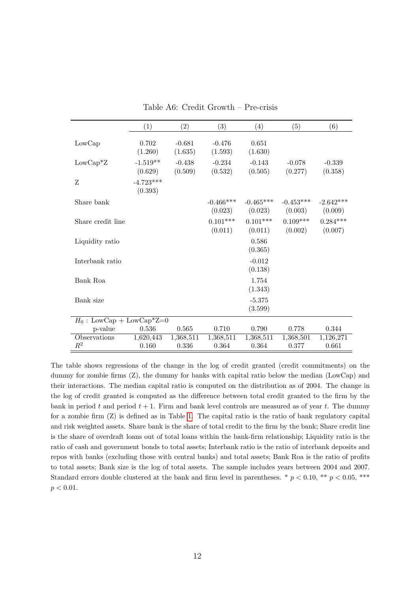|                             | (1)                    | (2)                 | (3)                    | (4)                    | (5)                    | (6)                    |
|-----------------------------|------------------------|---------------------|------------------------|------------------------|------------------------|------------------------|
| LowCap                      | 0.702<br>(1.260)       | $-0.681$<br>(1.635) | $-0.476$<br>(1.593)    | 0.651<br>(1.630)       |                        |                        |
| $LowCap^*Z$                 | $-1.519**$<br>(0.629)  | $-0.438$<br>(0.509) | $-0.234$<br>(0.532)    | $-0.143$<br>(0.505)    | $-0.078$<br>(0.277)    | $-0.339$<br>(0.358)    |
| Z                           | $-4.723***$<br>(0.393) |                     |                        |                        |                        |                        |
| Share bank                  |                        |                     | $-0.466***$<br>(0.023) | $-0.465***$<br>(0.023) | $-0.453***$<br>(0.003) | $-2.642***$<br>(0.009) |
| Share credit line           |                        |                     | $0.101***$<br>(0.011)  | $0.101***$<br>(0.011)  | $0.109***$<br>(0.002)  | $0.284***$<br>(0.007)  |
| Liquidity ratio             |                        |                     |                        | 0.586<br>(0.365)       |                        |                        |
| Interbank ratio             |                        |                     |                        | $-0.012$<br>(0.138)    |                        |                        |
| Bank Roa                    |                        |                     |                        | 1.754<br>(1.343)       |                        |                        |
| Bank size                   |                        |                     |                        | $-5.375$<br>(3.599)    |                        |                        |
| $H_0$ : LowCap + LowCap*Z=0 |                        |                     |                        |                        |                        |                        |
| p-value                     | 0.536                  | 0.565               | 0.710                  | 0.790                  | 0.778                  | 0.344                  |
| Observations<br>$R^2$       | 1,620,443<br>0.160     | 1,368,511<br>0.336  | 1,368,511<br>0.364     | 1,368,511<br>0.364     | 1,368,501<br>0.377     | 1,126,271<br>0.661     |

Table A6: Credit Growth – Pre-crisis

The table shows regressions of the change in the log of credit granted (credit commitments) on the dummy for zombie firms (Z), the dummy for banks with capital ratio below the median (LowCap) and their interactions. The median capital ratio is computed on the distribution as of 2004. The change in the log of credit granted is computed as the difference between total credit granted to the firm by the bank in period t and period  $t + 1$ . Firm and bank level controls are measured as of year t. The dummy for a zombie firm (Z) is defined as in Table [1.](#page-5-0) The capital ratio is the ratio of bank regulatory capital and risk weighted assets. Share bank is the share of total credit to the firm by the bank; Share credit line is the share of overdraft loans out of total loans within the bank-firm relationship; Liquidity ratio is the ratio of cash and government bonds to total assets; Interbank ratio is the ratio of interbank deposits and repos with banks (excluding those with central banks) and total assets; Bank Roa is the ratio of profits to total assets; Bank size is the log of total assets. The sample includes years between 2004 and 2007. Standard errors double clustered at the bank and firm level in parentheses. \*  $p < 0.10$ , \*\*  $p < 0.05$ , \*\*\*  $p < 0.01$ .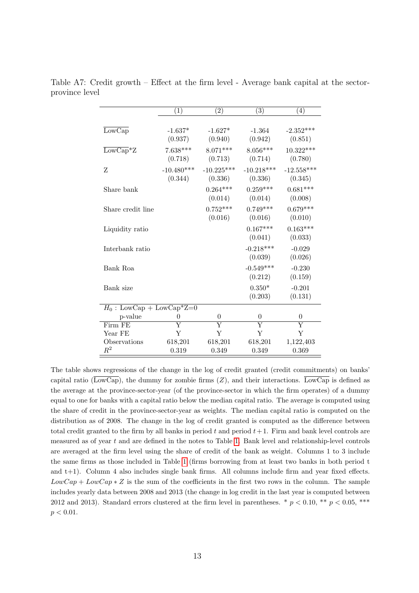|                                           | (1)            | $\left( 2\right)$  | (3)                | (4)                |
|-------------------------------------------|----------------|--------------------|--------------------|--------------------|
|                                           |                |                    |                    |                    |
| $\overline{\text{LowCap}}$                | $-1.637*$      | $-1.627*$          | $-1.364$           | $-2.352***$        |
|                                           | (0.937)        | (0.940)            | (0.942)            | (0.851)            |
| $\overline{\text{LowCap}}$ <sup>*</sup> Z | $7.638***$     | $8.071***$         | $8.056***$         | $10.322***$        |
|                                           | (0.718)        | (0.713)            | (0.714)            | (0.780)            |
| Z                                         | $-10.480***$   | $-10.225***$       | $-10.218***$       | $-12.558***$       |
|                                           | (0.344)        | (0.336)            | (0.336)            | (0.345)            |
| Share bank                                |                | $0.264***$         | $0.259***$         | $0.681***$         |
|                                           |                | (0.014)            | (0.014)            | (0.008)            |
| Share credit line                         |                | $0.752***$         | $0.749***$         | $0.679***$         |
|                                           |                | (0.016)            | (0.016)            | (0.010)            |
| Liquidity ratio                           |                |                    | $0.167***$         | $0.163***$         |
|                                           |                |                    | (0.041)            | (0.033)            |
| Interbank ratio                           |                |                    | $-0.218***$        | $-0.029$           |
|                                           |                |                    | (0.039)            | (0.026)            |
| Bank Roa                                  |                |                    | $-0.549***$        | $-0.230$           |
|                                           |                |                    | (0.212)            | (0.159)            |
| Bank size                                 |                |                    | $0.350*$           | $-0.201$           |
|                                           |                |                    | (0.203)            | (0.131)            |
| $H_0$ : LowCap + LowCap*Z=0               |                |                    |                    |                    |
| p-value                                   | $\overline{0}$ | $\overline{0}$     | $\overline{0}$     | $\overline{0}$     |
| Firm FE                                   | Y              | $\overline{\rm Y}$ | $\overline{\rm Y}$ | $\overline{\rm Y}$ |
| Year FE                                   | Y              | Y                  | Y                  | Y                  |
| Observations                              | 618,201        | 618,201            | 618,201            | 1,122,403          |
| $\,R^2$                                   | 0.319          | 0.349              | 0.349              | 0.369              |

Table A7: Credit growth – Effect at the firm level - Average bank capital at the sectorprovince level

The table shows regressions of the change in the log of credit granted (credit commitments) on banks' capital ratio ( $\overline{\text{LowCap}}$ ), the dummy for zombie firms (Z), and their interactions. LowCap is defined as the average at the province-sector-year (of the province-sector in which the firm operates) of a dummy equal to one for banks with a capital ratio below the median capital ratio. The average is computed using the share of credit in the province-sector-year as weights. The median capital ratio is computed on the distribution as of 2008. The change in the log of credit granted is computed as the difference between total credit granted to the firm by all banks in period  $t$  and period  $t+1$ . Firm and bank level controls are measured as of year t and are defined in the notes to Table [1.](#page-5-0) Bank level and relationship-level controls are averaged at the firm level using the share of credit of the bank as weight. Columns 1 to 3 include the same firms as those included in Table [1](#page-5-0) (firms borrowing from at least two banks in both period t and t+1). Column 4 also includes single bank firms. All columns include firm and year fixed effects.  $LowCap + LowCap * Z$  is the sum of the coefficients in the first two rows in the column. The sample includes yearly data between 2008 and 2013 (the change in log credit in the last year is computed between 2012 and 2013). Standard errors clustered at the firm level in parentheses. \*  $p < 0.10$ , \*\*  $p < 0.05$ , \*\*\*  $p < 0.01$ .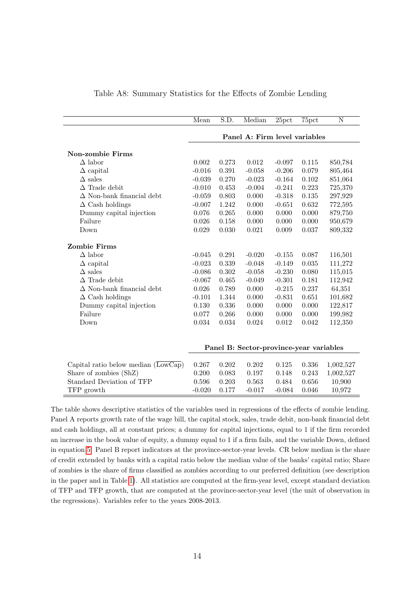<span id="page-13-0"></span>

|                                                         | Mean     | S.D.      | Median                                  | 25 <sub>pot</sub> | 75pct       | $\overline{\rm N}$ |
|---------------------------------------------------------|----------|-----------|-----------------------------------------|-------------------|-------------|--------------------|
|                                                         |          |           | Panel A: Firm level variables           |                   |             |                    |
|                                                         |          |           |                                         |                   |             |                    |
| <b>Non-zombie Firms</b>                                 |          |           |                                         |                   |             |                    |
| $\Delta$ labor                                          | 0.002    | 0.273     | 0.012                                   | $-0.097$          | 0.115       | 850,784            |
| $\Delta$ capital                                        | $-0.016$ | 0.391     | $-0.058$                                | $-0.206$          | 0.079       | 805,464            |
| $\Delta$ sales                                          | $-0.039$ | 0.270     | $-0.023$                                | $-0.164$          | 0.102       | 851,064            |
| $\Delta$ Trade debit                                    | $-0.010$ | 0.453     | $-0.004$                                | $-0.241$          | 0.223       | 725,370            |
| $\Delta$ Non-bank financial debt                        | $-0.059$ | 0.803     | 0.000                                   | $-0.318$          | 0.135       | 297,929            |
| $\Delta$ Cash holdings                                  | $-0.007$ | 1.242     | 0.000                                   | $-0.651$          | 0.632       | 772,595            |
| Dummy capital injection                                 | 0.076    | 0.265     | 0.000                                   | 0.000             | 0.000       | 879,750            |
| Failure                                                 | 0.026    | 0.158     | 0.000                                   | 0.000             | 0.000       | 950,679            |
| Down                                                    | 0.029    | 0.030     | 0.021                                   | 0.009             | 0.037       | 809,332            |
| <b>Zombie Firms</b>                                     |          |           |                                         |                   |             |                    |
| $\Delta$ labor                                          | $-0.045$ | 0.291     | $-0.020$                                | $-0.155$          | 0.087       | 116,501            |
| $\Delta$ capital                                        | $-0.023$ | 0.339     | $-0.048$                                | $-0.149$          | $\,0.035\,$ | 111,272            |
| $\Delta$ sales                                          | $-0.086$ | $0.302\,$ | $-0.058$                                | $-0.230$          | 0.080       | 115,015            |
| $\Delta$ Trade debit                                    | $-0.067$ | 0.465     | $-0.049$                                | $-0.301$          | 0.181       | 112,942            |
| $\Delta$ Non-bank financial debt                        | 0.026    | 0.789     | 0.000                                   | $-0.215$          | 0.237       | 64,351             |
| $\Delta$ Cash holdings                                  | $-0.101$ | 1.344     | 0.000                                   | $-0.831$          | 0.651       | 101,682            |
| Dummy capital injection                                 | 0.130    | 0.336     | 0.000                                   | 0.000             | 0.000       | 122,817            |
| Failure                                                 | 0.077    | 0.266     | 0.000                                   | 0.000             | 0.000       | 199,982            |
| Down                                                    | 0.034    | 0.034     | 0.024                                   | 0.012             | 0.042       | 112,350            |
|                                                         |          |           |                                         |                   |             |                    |
|                                                         |          |           | Panel B: Sector-province-year variables |                   |             |                    |
| Capital ratio below median $(\overline{\text{LowCap}})$ | 0.267    | 0.202     | 0.202                                   | 0.125             | 0.336       | 1,002,527          |
| Share of zombies (ShZ)                                  | 0.200    | 0.083     | 0.197                                   | 0.148             | 0.243       | 1,002,527          |
| Standard Deviation of TFP                               | 0.596    | 0.203     | 0.563                                   | 0.484             | 0.656       | 10,900             |
| TFP growth                                              | $-0.020$ | 0.177     | $-0.017$                                | $-0.084$          | 0.046       | 10,972             |

#### Table A8: Summary Statistics for the Effects of Zombie Lending

The table shows descriptive statistics of the variables used in regressions of the effects of zombie lending. Panel A reports growth rate of the wage bill, the capital stock, sales, trade debit, non-bank financial debt and cash holdings, all at constant prices; a dummy for capital injections, equal to 1 if the firm recorded an increase in the book value of equity, a dummy equal to 1 if a firm fails, and the variable Down, defined in equation [5.](#page-0-0) Panel B report indicators at the province-sector-year levels. CR below median is the share of credit extended by banks with a capital ratio below the median value of the banks' capital ratio; Share of zombies is the share of firms classified as zombies according to our preferred definition (see description in the paper and in Table [1\)](#page-5-0). All statistics are computed at the firm-year level, except standard deviation of TFP and TFP growth, that are computed at the province-sector-year level (the unit of observation in the regressions). Variables refer to the years 2008-2013.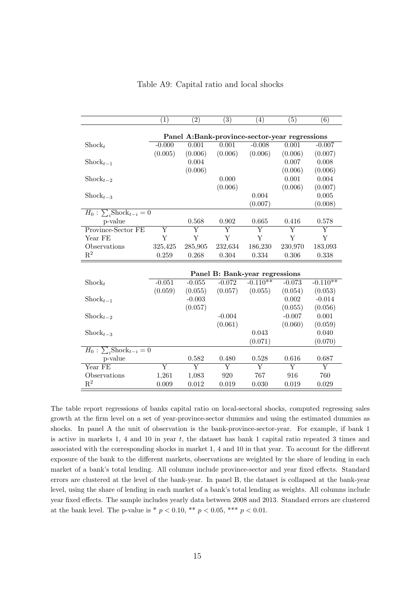|                                         | $\overline{(1)}$        | $\overline{(2)}$   | $\overline{(3)}$ | (4)                                           | (5)      | $\overline{(6)}$ |
|-----------------------------------------|-------------------------|--------------------|------------------|-----------------------------------------------|----------|------------------|
|                                         |                         |                    |                  | Panel A:Bank-province-sector-year regressions |          |                  |
| $\operatorname{Shock}_t$                | $-0.000$                | 0.001              | 0.001            | $-0.008$                                      | 0.001    | $-0.007$         |
|                                         | (0.005)                 | (0.006)            | (0.006)          | (0.006)                                       | (0.006)  | (0.007)          |
| $\text{Shock}_{t-1}$                    |                         | 0.004              |                  |                                               | 0.007    | 0.008            |
|                                         |                         | (0.006)            |                  |                                               | (0.006)  | (0.006)          |
| $\text{Shock}_{t-2}$                    |                         |                    | 0.000            |                                               | 0.001    | 0.004            |
|                                         |                         |                    | (0.006)          |                                               | (0.006)  | (0.007)          |
| $\operatorname{Shock}_{t-3}$            |                         |                    |                  | 0.004                                         |          | 0.005            |
|                                         |                         |                    |                  | (0.007)                                       |          | (0.008)          |
| $H_0$ : $\sum_i \text{Shock}_{t-i} = 0$ |                         |                    |                  |                                               |          |                  |
| p-value                                 |                         | 0.568              | 0.902            | 0.665                                         | 0.416    | 0.578            |
| Province-Sector FE                      | $\overline{\mathrm{Y}}$ | Y                  | Y                | Y                                             | Ÿ        | Y                |
| Year FE                                 | Y                       | Y                  | Y                | Y                                             | Y        | Y                |
| Observations                            | 325,425                 | 285,905            | 232,634          | 186,230                                       | 230,970  | 183,093          |
| $\mathbf{R}^2$                          | 0.259                   | 0.268              | 0.304            | 0.334                                         | 0.306    | 0.338            |
|                                         |                         |                    |                  |                                               |          |                  |
|                                         |                         |                    |                  | Panel B: Bank-year regressions                |          |                  |
| $\operatorname{Shock}_t$                | $-0.051$                | $-0.055$           | $-0.072$         | $-0.110**$                                    | $-0.073$ | $-0.110**$       |
|                                         | (0.059)                 | (0.055)            | (0.057)          | (0.055)                                       | (0.054)  | (0.053)          |
| $\operatorname{Shock}_{t-1}$            |                         | $-0.003$           |                  |                                               | 0.002    | $-0.014$         |
|                                         |                         | (0.057)            |                  |                                               | (0.055)  | (0.056)          |
| $\operatorname{Shock}_{t-2}$            |                         |                    | $-0.004$         |                                               | $-0.007$ | 0.001            |
|                                         |                         |                    | (0.061)          |                                               | (0.060)  | (0.059)          |
| $\operatorname{Shock}_{t-3}$            |                         |                    |                  | 0.043                                         |          | 0.040            |
|                                         |                         |                    |                  | (0.071)                                       |          | (0.070)          |
| $H_0$ : $\sum_i \text{Shock}_{t-i} = 0$ |                         |                    |                  |                                               |          |                  |
| p-value                                 |                         | 0.582              | 0.480            | 0.528                                         | 0.616    | 0.687            |
| Year FE                                 | $\overline{\mathrm{Y}}$ | $\overline{\rm Y}$ | Y                | $\overline{\rm Y}$                            | Υ        | Y                |
| Observations                            | 1,261                   | 1,083              | 920              | 767                                           | 916      | 760              |
| $\mathrm{R}^2$                          | 0.009                   | 0.012              | 0.019            | 0.030                                         | 0.019    | 0.029            |

Table A9: Capital ratio and local shocks

The table report regressions of banks capital ratio on local-sectoral shocks, computed regressing sales growth at the firm level on a set of year-province-sector dummies and using the estimated dummies as shocks. In panel A the unit of observation is the bank-province-sector-year. For example, if bank 1 is active in markets 1, 4 and 10 in year t, the dataset has bank 1 capital ratio repeated 3 times and associated with the corresponding shocks in market 1, 4 and 10 in that year. To account for the different exposure of the bank to the different markets, observations are weighted by the share of lending in each market of a bank's total lending. All columns include province-sector and year fixed effects. Standard errors are clustered at the level of the bank-year. In panel B, the dataset is collapsed at the bank-year level, using the share of lending in each market of a bank's total lending as weights. All columns include year fixed effects. The sample includes yearly data between 2008 and 2013. Standard errors are clustered at the bank level. The p-value is \*  $p < 0.10$ , \*\*  $p < 0.05$ , \*\*\*  $p < 0.01$ .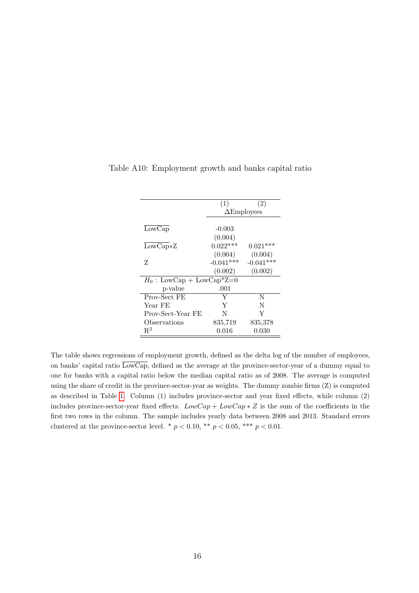|                             | (1)         | $\left( 2\right)$  |
|-----------------------------|-------------|--------------------|
|                             |             | $\Delta$ Employees |
|                             |             |                    |
| LowCap                      | $-0.003$    |                    |
|                             | (0.004)     |                    |
| $LowCap*Z$                  | $0.022***$  | $0.021***$         |
|                             | (0.004)     | (0.004)            |
| Z                           | $-0.041***$ | $-0.041***$        |
|                             | (0.002)     | (0.002)            |
| $H_0$ : LowCap + LowCap*Z=0 |             |                    |
| p-value                     | .001        |                    |
| Prov-Sect FE                | Y           | N                  |
| Year FE                     | Y           | N                  |
| Prov-Sect-Year FE           | N           | Y                  |
| Observations                | 835,719     | 835,378            |
| $R^2$                       | 0.016       | 0.030              |

Table A10: Employment growth and banks capital ratio

The table shows regressions of employment growth, defined as the delta log of the number of employees, on banks' capital ratio  $\overline{\text{LowCap}}$ , defined as the average at the province-sector-year of a dummy equal to one for banks with a capital ratio below the median capital ratio as of 2008. The average is computed using the share of credit in the province-sector-year as weights. The dummy zombie firms (Z) is computed as described in Table [1.](#page-5-0) Column (1) includes province-sector and year fixed effects, while column (2) includes province-sector-year fixed effects.  $LowCap + LowCap * Z$  is the sum of the coefficients in the first two rows in the column. The sample includes yearly data between 2008 and 2013. Standard errors clustered at the province-sector level. \*  $p < 0.10$ , \*\*  $p < 0.05$ , \*\*\*  $p < 0.01$ .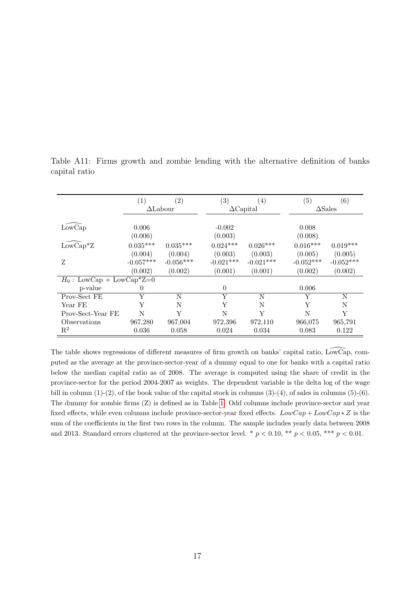|                                        | $\left( 1\right)$ | $\left( 2\right)$ | $\left( 3\right)$ | $\left( 4\right)$ | (5)         | (6)               |
|----------------------------------------|-------------------|-------------------|-------------------|-------------------|-------------|-------------------|
|                                        |                   | $\Delta$ Labour   |                   | $\Delta$ Capital  |             | $\triangle$ Sales |
|                                        |                   |                   |                   |                   |             |                   |
| LowCap                                 | 0.006             |                   | $-0.002$          |                   | 0.008       |                   |
|                                        | (0.006)           |                   | (0.003)           |                   | (0.008)     |                   |
| $\widetilde{\operatorname{LowCap}}^*Z$ | $0.035***$        | $0.035***$        | $0.024***$        | $0.026***$        | $0.016***$  | $0.019***$        |
|                                        | (0.004)           | (0.004)           | (0.003)           | (0.003)           | (0.005)     | (0.005)           |
| Z                                      | $-0.057***$       | $-0.056***$       | $-0.021***$       | $-0.021***$       | $-0.052***$ | $-0.052***$       |
|                                        | (0.002)           | (0.002)           | (0.001)           | (0.001)           | (0.002)     | (0.002)           |
| $H_0$ : LowCap + LowCap*Z=0            |                   |                   |                   |                   |             |                   |
| p-value                                | $\theta$          |                   | $\theta$          |                   | 0.006       |                   |
| Prov-Sect FE                           | Y                 | N                 | Y                 | N                 | Y           | N                 |
| Year FE                                | Y                 | N                 | Y                 | N                 | Y           | N                 |
| Prov-Sect-Year FE                      | N                 | Y                 | N                 | Y                 | N           | Y                 |
| Observations                           | 967,280           | 967,004           | 972,396           | 972,110           | 966,075     | 965,791           |
| $\mathrm{R}^2$                         | 0.036             | 0.058             | 0.024             | 0.034             | 0.083       | 0.122             |

Table A11: Firms growth and zombie lending with the alternative definition of banks capital ratio

The table shows regressions of different measures of firm growth on banks' capital ratio,  $\widetilde{\text{LowCap}}$ , computed as the average at the province-sector-year of a dummy equal to one for banks with a capital ratio below the median capital ratio as of 2008. The average is computed using the share of credit in the province-sector for the period 2004-2007 as weights. The dependent variable is the delta log of the wage bill in column  $(1)-(2)$ , of the book value of the capital stock in columns  $(3)-(4)$ , of sales in columns  $(5)-(6)$ . The dummy for zombie firms (Z) is defined as in Table [1.](#page-5-0) Odd columns include province-sector and year fixed effects, while even columns include province-sector-year fixed effects.  $LowCap + LowCap * Z$  is the sum of the coefficients in the first two rows in the column. The sample includes yearly data between 2008 and 2013. Standard errors clustered at the province-sector level. \*  $p < 0.10$ , \*\*  $p < 0.05$ , \*\*\*  $p < 0.01$ .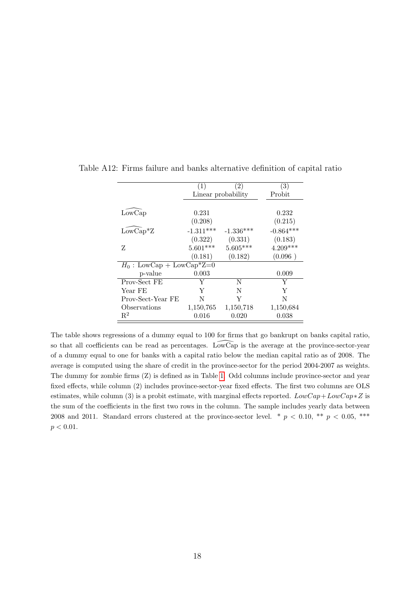|                             | (1)         | (2)                | (3)         |
|-----------------------------|-------------|--------------------|-------------|
|                             |             | Linear probability | Probit      |
|                             |             |                    |             |
| LowCap                      | 0.231       |                    | 0.232       |
|                             | (0.208)     |                    | (0.215)     |
| $LowCap^*Z$                 | $-1.311***$ | $-1.336***$        | $-0.864***$ |
|                             | (0.322)     | (0.331)            | (0.183)     |
| Z                           | $5.601***$  | $5.605***$         | $4.209***$  |
|                             | (0.181)     | (0.182)            | (0.096)     |
| $H_0$ : LowCap + LowCap*Z=0 |             |                    |             |
| p-value                     | 0.003       |                    | 0.009       |
| Prov-Sect FE                | Y           | N                  | Y           |
| Year FE                     | Y           | N                  | Y           |
| Prov-Sect-Year FE           | N           | Y                  | N           |
| Observations                | 1,150,765   | 1,150,718          | 1,150,684   |
| $R^2$                       | 0.016       | 0.020              | 0.038       |

Table A12: Firms failure and banks alternative definition of capital ratio

The table shows regressions of a dummy equal to 100 for firms that go bankrupt on banks capital ratio, so that all coefficients can be read as percentages. LowCap is the average at the province-sector-year of a dummy equal to one for banks with a capital ratio below the median capital ratio as of 2008. The average is computed using the share of credit in the province-sector for the period 2004-2007 as weights. The dummy for zombie firms (Z) is defined as in Table [1.](#page-5-0) Odd columns include province-sector and year fixed effects, while column (2) includes province-sector-year fixed effects. The first two columns are OLS estimates, while column (3) is a probit estimate, with marginal effects reported.  $LowCap + LowCap * Z$  is the sum of the coefficients in the first two rows in the column. The sample includes yearly data between 2008 and 2011. Standard errors clustered at the province-sector level. \*  $p < 0.10$ , \*\*  $p < 0.05$ , \*\*\*  $p < 0.01$ .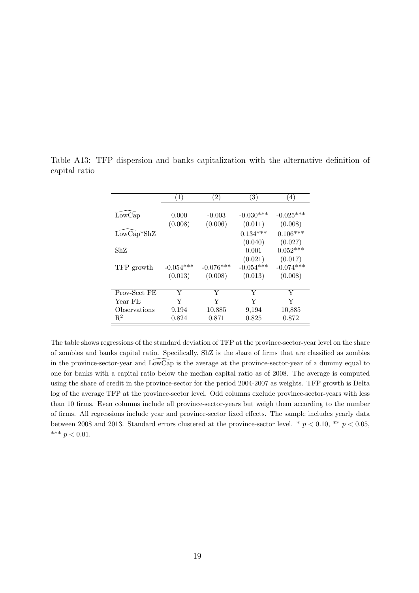|              | (1)         | $\left(2\right)$ | $\left(3\right)$ | 4)          |
|--------------|-------------|------------------|------------------|-------------|
|              |             |                  |                  |             |
| LowCap       | 0.000       | $-0.003$         | $-0.030***$      | $-0.025***$ |
|              | (0.008)     | (0.006)          | (0.011)          | (0.008)     |
| $LowCap*ShZ$ |             |                  | $0.134***$       | $0.106***$  |
|              |             |                  | (0.040)          | (0.027)     |
| ShZ          |             |                  | 0.001            | $0.052***$  |
|              |             |                  | (0.021)          | (0.017)     |
| TFP growth   | $-0.054***$ | $-0.076***$      | $-0.054***$      | $-0.074***$ |
|              | (0.013)     | (0.008)          | (0.013)          | (0.008)     |
|              |             |                  |                  |             |
| Prov-Sect FE | Y           | Y                | Y                | Y           |
| Year FE      | Y           | Y                | Y                | Y           |
| Observations | 9,194       | 10,885           | 9,194            | 10,885      |
| $R^2$        | 0.824       | 0.871            | 0.825            | 0.872       |

Table A13: TFP dispersion and banks capitalization with the alternative definition of capital ratio

The table shows regressions of the standard deviation of TFP at the province-sector-year level on the share of zombies and banks capital ratio. Specifically, ShZ is the share of firms that are classified as zombies in the province-sector-year and LowCap is the average at the province-sector-year of a dummy equal to \ one for banks with a capital ratio below the median capital ratio as of 2008. The average is computed using the share of credit in the province-sector for the period 2004-2007 as weights. TFP growth is Delta log of the average TFP at the province-sector level. Odd columns exclude province-sector-years with less than 10 firms. Even columns include all province-sector-years but weigh them according to the number of firms. All regressions include year and province-sector fixed effects. The sample includes yearly data between 2008 and 2013. Standard errors clustered at the province-sector level. \*  $p < 0.10$ , \*\*  $p < 0.05$ , \*\*\*  $p < 0.01$ .